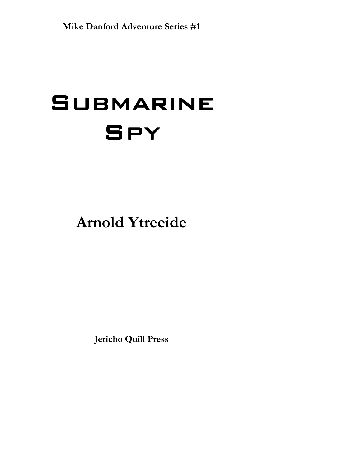## **SUBMARINE SPY**

## **Arnold Ytreeide**

**Jericho Quill Press**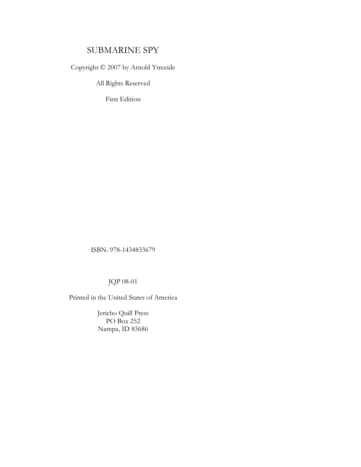## SUBMARINE SPY

Copyright © 2007 by Arnold Ytreeide

All Rights Reserved

First Edition

ISBN: 978-1434833679

JQP 08-01

Printed in the United States of America

Jericho Quill Press PO Box 252 Nampa, ID 83686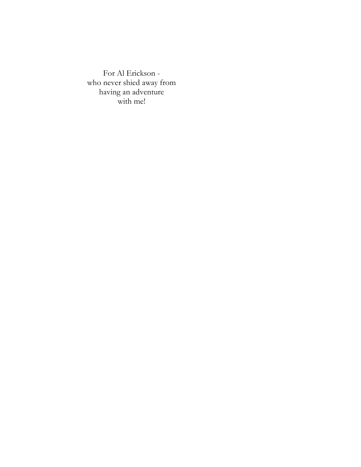For Al Erickson who never shied away from having an adventure with me!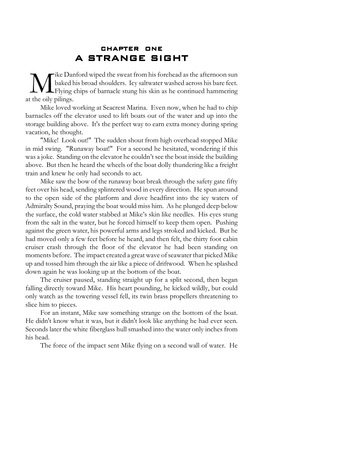## CHAPTER ONE A STRANGE SIGHT

Musike Dan<br>at the oily pilings. ike Danford wiped the sweat from his forehead as the afternoon sun baked his broad shoulders. Icy saltwater washed across his bare feet. Flying chips of barnacle stung his skin as he continued hammering

Mike loved working at Seacrest Marina. Even now, when he had to chip barnacles off the elevator used to lift boats out of the water and up into the storage building above. It's the perfect way to earn extra money during spring vacation, he thought.

"Mike! Look out!" The sudden shout from high overhead stopped Mike in mid swing. "Runaway boat!" For a second he hesitated, wondering if this was a joke. Standing on the elevator he couldn't see the boat inside the building above. But then he heard the wheels of the boat dolly thundering like a freight train and knew he only had seconds to act.

Mike saw the bow of the runaway boat break through the safety gate fifty feet over his head, sending splintered wood in every direction. He spun around to the open side of the platform and dove headfirst into the icy waters of Admiralty Sound, praying the boat would miss him. As he plunged deep below the surface, the cold water stabbed at Mike's skin like needles. His eyes stung from the salt in the water, but he forced himself to keep them open. Pushing against the green water, his powerful arms and legs stroked and kicked. But he had moved only a few feet before he heard, and then felt, the thirty foot cabin cruiser crash through the floor of the elevator he had been standing on moments before. The impact created a great wave of seawater that picked Mike up and tossed him through the air like a piece of driftwood. When he splashed down again he was looking up at the bottom of the boat.

The cruiser paused, standing straight up for a split second, then began falling directly toward Mike. His heart pounding, he kicked wildly, but could only watch as the towering vessel fell, its twin brass propellers threatening to slice him to pieces.

For an instant, Mike saw something strange on the bottom of the boat. He didn't know what it was, but it didn't look like anything he had ever seen. Seconds later the white fiberglass hull smashed into the water only inches from his head.

The force of the impact sent Mike flying on a second wall of water. He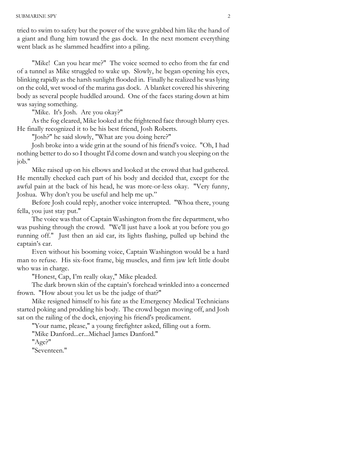tried to swim to safety but the power of the wave grabbed him like the hand of a giant and flung him toward the gas dock. In the next moment everything went black as he slammed headfirst into a piling.

"Mike! Can you hear me?" The voice seemed to echo from the far end of a tunnel as Mike struggled to wake up. Slowly, he began opening his eyes, blinking rapidly as the harsh sunlight flooded in. Finally he realized he was lying on the cold, wet wood of the marina gas dock. A blanket covered his shivering body as several people huddled around. One of the faces staring down at him was saying something.

"Mike. It's Josh. Are you okay?"

As the fog cleared, Mike looked at the frightened face through blurry eyes. He finally recognized it to be his best friend, Josh Roberts.

"Josh?" he said slowly, "What are you doing here?"

Josh broke into a wide grin at the sound of his friend's voice. "Oh, I had nothing better to do so I thought I'd come down and watch you sleeping on the job."

Mike raised up on his elbows and looked at the crowd that had gathered. He mentally checked each part of his body and decided that, except for the awful pain at the back of his head, he was more-or-less okay. "Very funny, Joshua. Why don't you be useful and help me up."

Before Josh could reply, another voice interrupted. "Whoa there, young fella, you just stay put."

The voice was that of Captain Washington from the fire department, who was pushing through the crowd. "We'll just have a look at you before you go running off." Just then an aid car, its lights flashing, pulled up behind the captain's car.

Even without his booming voice, Captain Washington would be a hard man to refuse. His six-foot frame, big muscles, and firm jaw left little doubt who was in charge.

"Honest, Cap, I'm really okay," Mike pleaded.

The dark brown skin of the captain's forehead wrinkled into a concerned frown. "How about you let us be the judge of that?"

Mike resigned himself to his fate as the Emergency Medical Technicians started poking and prodding his body. The crowd began moving off, and Josh sat on the railing of the dock, enjoying his friend's predicament.

"Your name, please," a young firefighter asked, filling out a form.

"Mike Danford...er...Michael James Danford."

"Age?"

"Seventeen."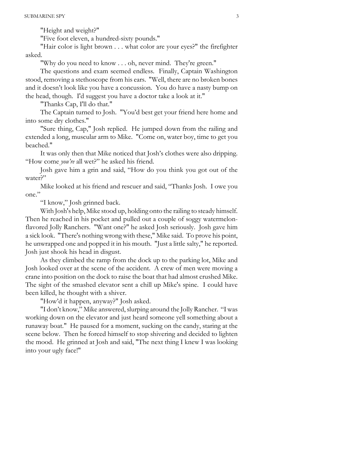"Height and weight?"

"Five foot eleven, a hundred-sixty pounds."

"Hair color is light brown . . . what color are your eyes?" the firefighter asked.

"Why do you need to know . . . oh, never mind. They're green."

The questions and exam seemed endless. Finally, Captain Washington stood, removing a stethoscope from his ears. "Well, there are no broken bones and it doesn't look like you have a concussion. You do have a nasty bump on the head, though. I'd suggest you have a doctor take a look at it."

"Thanks Cap, I'll do that."

The Captain turned to Josh. "You'd best get your friend here home and into some dry clothes."

"Sure thing, Cap," Josh replied. He jumped down from the railing and extended a long, muscular arm to Mike. "Come on, water boy, time to get you beached."

It was only then that Mike noticed that Josh's clothes were also dripping. "How come *you're* all wet?" he asked his friend.

Josh gave him a grin and said, "How do you think you got out of the water?"

Mike looked at his friend and rescuer and said, "Thanks Josh. I owe you one."

"I know," Josh grinned back.

With Josh's help, Mike stood up, holding onto the railing to steady himself. Then he reached in his pocket and pulled out a couple of soggy watermelonflavored Jolly Ranchers. "Want one?" he asked Josh seriously. Josh gave him a sick look. "There's nothing wrong with these," Mike said. To prove his point, he unwrapped one and popped it in his mouth. "Just a little salty," he reported. Josh just shook his head in disgust.

As they climbed the ramp from the dock up to the parking lot, Mike and Josh looked over at the scene of the accident. A crew of men were moving a crane into position on the dock to raise the boat that had almost crushed Mike. The sight of the smashed elevator sent a chill up Mike's spine. I could have been killed, he thought with a shiver.

"How'd it happen, anyway?" Josh asked.

"I don't know," Mike answered, slurping around the Jolly Rancher. "I was working down on the elevator and just heard someone yell something about a runaway boat." He paused for a moment, sucking on the candy, staring at the scene below. Then he forced himself to stop shivering and decided to lighten the mood. He grinned at Josh and said, "The next thing I knew I was looking into your ugly face!"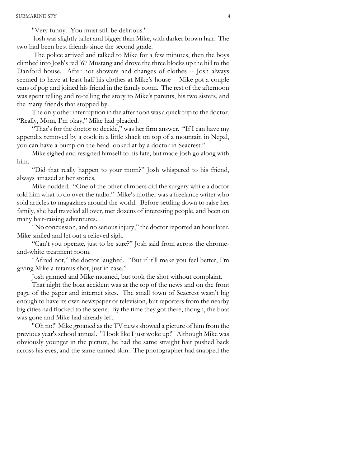"Very funny. You must still be delirious."

 Josh was slightly taller and bigger than Mike, with darker brown hair. The two had been best friends since the second grade.

 The police arrived and talked to Mike for a few minutes, then the boys climbed into Josh's red '67 Mustang and drove the three blocks up the hill to the Danford house. After hot showers and changes of clothes -- Josh always seemed to have at least half his clothes at Mike's house -- Mike got a couple cans of pop and joined his friend in the family room. The rest of the afternoon was spent telling and re-telling the story to Mike's parents, his two sisters, and the many friends that stopped by.

The only other interruption in the afternoon was a quick trip to the doctor. "Really, Mom, I'm okay," Mike had pleaded.

"That's for the doctor to decide," was her firm answer. "If I can have my appendix removed by a cook in a little shack on top of a mountain in Nepal, you can have a bump on the head looked at by a doctor in Seacrest."

Mike sighed and resigned himself to his fate, but made Josh go along with him.

"Did that really happen to your mom?" Josh whispered to his friend, always amazed at her stories.

Mike nodded. "One of the other climbers did the surgery while a doctor told him what to do over the radio." Mike's mother was a freelance writer who sold articles to magazines around the world. Before settling down to raise her family, she had traveled all over, met dozens of interesting people, and been on many hair-raising adventures.

"No concussion, and no serious injury," the doctor reported an hour later. Mike smiled and let out a relieved sigh.

"Can't you operate, just to be sure?" Josh said from across the chromeand-white treatment room.

"Afraid not," the doctor laughed. "But if it'll make you feel better, I'm giving Mike a tetanus shot, just in case."

Josh grinned and Mike moaned, but took the shot without complaint.

That night the boat accident was at the top of the news and on the front page of the paper and internet sites. The small town of Seacrest wasn't big enough to have its own newspaper or television, but reporters from the nearby big cities had flocked to the scene. By the time they got there, though, the boat was gone and Mike had already left.

"Oh no!" Mike groaned as the TV news showed a picture of him from the previous year's school annual. "I look like I just woke up!" Although Mike was obviously younger in the picture, he had the same straight hair pushed back across his eyes, and the same tanned skin. The photographer had snapped the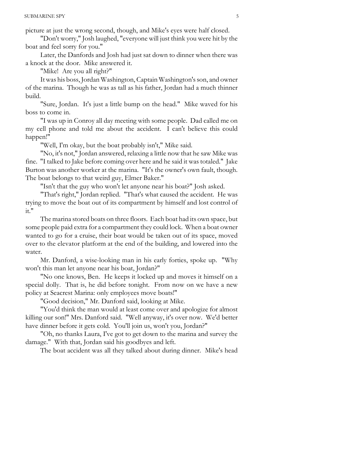picture at just the wrong second, though, and Mike's eyes were half closed.

"Don't worry," Josh laughed, "everyone will just think you were hit by the boat and feel sorry for you."

Later, the Danfords and Josh had just sat down to dinner when there was a knock at the door. Mike answered it.

"Mike! Are you all right?"

It was his boss, Jordan Washington, Captain Washington's son, and owner of the marina. Though he was as tall as his father, Jordan had a much thinner build.

"Sure, Jordan. It's just a little bump on the head." Mike waved for his boss to come in.

"I was up in Conroy all day meeting with some people. Dad called me on my cell phone and told me about the accident. I can't believe this could happen!"

"Well, I'm okay, but the boat probably isn't," Mike said.

"No, it's not," Jordan answered, relaxing a little now that he saw Mike was fine. "I talked to Jake before coming over here and he said it was totaled." Jake Burton was another worker at the marina. "It's the owner's own fault, though. The boat belongs to that weird guy, Elmer Baker."

"Isn't that the guy who won't let anyone near his boat?" Josh asked.

"That's right," Jordan replied. "That's what caused the accident. He was trying to move the boat out of its compartment by himself and lost control of it."

The marina stored boats on three floors. Each boat had its own space, but some people paid extra for a compartment they could lock. When a boat owner wanted to go for a cruise, their boat would be taken out of its space, moved over to the elevator platform at the end of the building, and lowered into the water.

Mr. Danford, a wise-looking man in his early forties, spoke up. "Why won't this man let anyone near his boat, Jordan?"

"No one knows, Ben. He keeps it locked up and moves it himself on a special dolly. That is, he did before tonight. From now on we have a new policy at Seacrest Marina: only employees move boats!"

"Good decision," Mr. Danford said, looking at Mike.

"You'd think the man would at least come over and apologize for almost killing our son!" Mrs. Danford said. "Well anyway, it's over now. We'd better have dinner before it gets cold. You'll join us, won't you, Jordan?"

"Oh, no thanks Laura, I've got to get down to the marina and survey the damage." With that, Jordan said his goodbyes and left.

The boat accident was all they talked about during dinner. Mike's head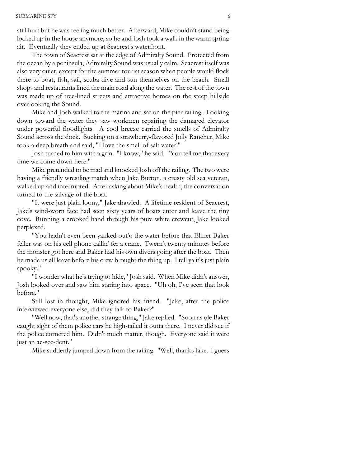still hurt but he was feeling much better. Afterward, Mike couldn't stand being locked up in the house anymore, so he and Josh took a walk in the warm spring air. Eventually they ended up at Seacrest's waterfront.

The town of Seacrest sat at the edge of Admiralty Sound. Protected from the ocean by a peninsula, Admiralty Sound was usually calm. Seacrest itself was also very quiet, except for the summer tourist season when people would flock there to boat, fish, sail, scuba dive and sun themselves on the beach. Small shops and restaurants lined the main road along the water. The rest of the town was made up of tree-lined streets and attractive homes on the steep hillside overlooking the Sound.

Mike and Josh walked to the marina and sat on the pier railing. Looking down toward the water they saw workmen repairing the damaged elevator under powerful floodlights. A cool breeze carried the smells of Admiralty Sound across the dock. Sucking on a strawberry-flavored Jolly Rancher, Mike took a deep breath and said, "I love the smell of salt water!"

Josh turned to him with a grin. "I know," he said. "You tell me that every time we come down here."

Mike pretended to be mad and knocked Josh off the railing. The two were having a friendly wrestling match when Jake Burton, a crusty old sea veteran, walked up and interrupted. After asking about Mike's health, the conversation turned to the salvage of the boat.

"It were just plain loony," Jake drawled. A lifetime resident of Seacrest, Jake's wind-worn face had seen sixty years of boats enter and leave the tiny cove. Running a crooked hand through his pure white crewcut, Jake looked perplexed.

"You hadn't even been yanked out'o the water before that Elmer Baker feller was on his cell phone callin' fer a crane. Twern't twenty minutes before the monster got here and Baker had his own divers going after the boat. Then he made us all leave before his crew brought the thing up. I tell ya it's just plain spooky."

"I wonder what he's trying to hide," Josh said. When Mike didn't answer, Josh looked over and saw him staring into space. "Uh oh, I've seen that look before."

Still lost in thought, Mike ignored his friend. "Jake, after the police interviewed everyone else, did they talk to Baker?"

"Well now, that's another strange thing," Jake replied. "Soon as ole Baker caught sight of them police cars he high-tailed it outta there. I never did see if the police cornered him. Didn't much matter, though. Everyone said it were just an ac-see-dent."

Mike suddenly jumped down from the railing. "Well, thanks Jake. I guess